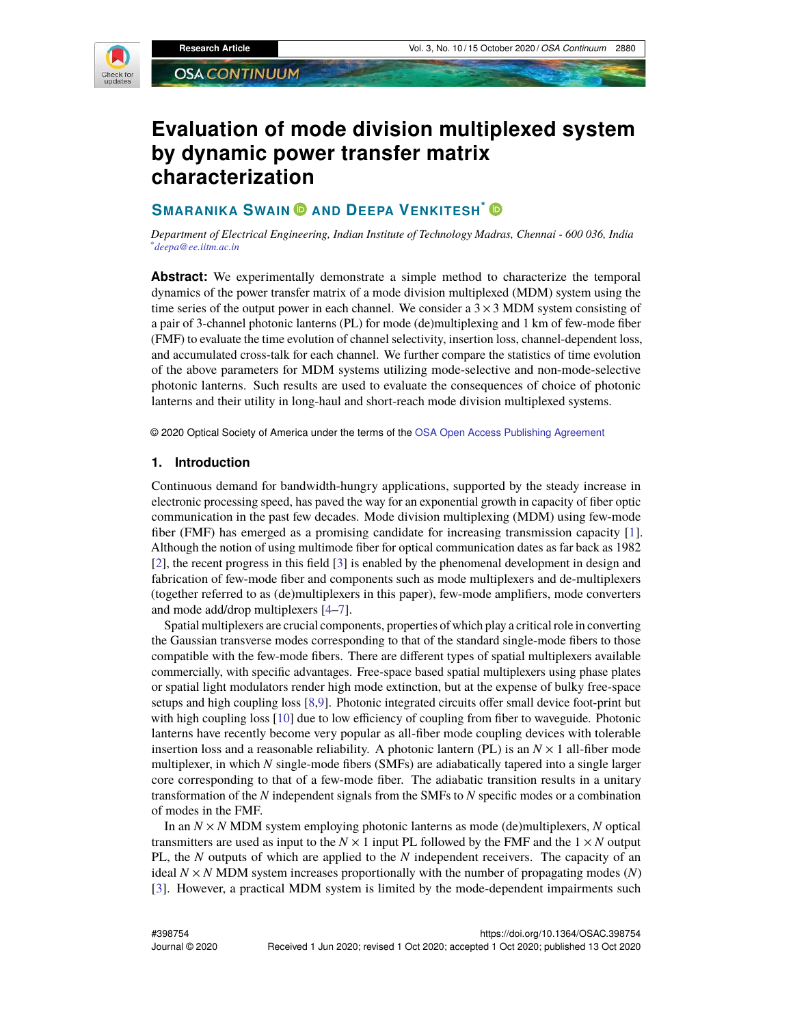

# **Evaluation of mode division multiplexed system by dynamic power transfer matrix characterization**

# **SMARANIKA SWAIN AND DEEPA VENKITESH\***

*Department of Electrical Engineering, Indian Institute of Technology Madras, Chennai - 600 036, India \*deepa@ee.iitm.ac.in*

**Abstract:** We experimentally demonstrate a simple method to characterize the temporal dynamics of the power transfer matrix of a mode division multiplexed (MDM) system using the time series of the output power in each channel. We consider a  $3 \times 3$  MDM system consisting of a pair of 3-channel photonic lanterns (PL) for mode (de)multiplexing and 1 km of few-mode fiber (FMF) to evaluate the time evolution of channel selectivity, insertion loss, channel-dependent loss, and accumulated cross-talk for each channel. We further compare the statistics of time evolution of the above parameters for MDM systems utilizing mode-selective and non-mode-selective photonic lanterns. Such results are used to evaluate the consequences of choice of photonic lanterns and their utility in long-haul and short-reach mode division multiplexed systems.

© 2020 Optical Society of America under the terms of the OSA Open Access Publishing Agreement

## **1. Introduction**

Continuous demand for bandwidth-hungry applications, supported by the steady increase in electronic processing speed, has paved the way for an exponential growth in capacity of fiber optic communication in the past few decades. Mode division multiplexing (MDM) using few-mode fiber (FMF) has emerged as a promising candidate for increasing transmission capacity [1]. Although the notion of using multimode fiber for optical communication dates as far back as 1982 [2], the recent progress in this field [3] is enabled by the phenomenal development in design and fabrication of few-mode fiber and components such as mode multiplexers and de-multiplexers (together referred to as (de)multiplexers in this paper), few-mode amplifiers, mode converters and mode add/drop multiplexers [4–7].

Spatial multiplexers are crucial components, properties of which play a critical role in converting the Gaussian transverse modes corresponding to that of the standard single-mode fibers to those compatible with the few-mode fibers. There are different types of spatial multiplexers available commercially, with specific advantages. Free-space based spatial multiplexers using phase plates or spatial light modulators render high mode extinction, but at the expense of bulky free-space setups and high coupling loss [8,9]. Photonic integrated circuits offer small device foot-print but with high coupling loss [10] due to low efficiency of coupling from fiber to waveguide. Photonic lanterns have recently become very popular as all-fiber mode coupling devices with tolerable insertion loss and a reasonable reliability. A photonic lantern (PL) is an  $N \times 1$  all-fiber mode multiplexer, in which *N* single-mode fibers (SMFs) are adiabatically tapered into a single larger core corresponding to that of a few-mode fiber. The adiabatic transition results in a unitary transformation of the *N* independent signals from the SMFs to *N* specific modes or a combination of modes in the FMF.

In an  $N \times N$  MDM system employing photonic lanterns as mode (de)multiplexers,  $N$  optical transmitters are used as input to the  $N \times 1$  input PL followed by the FMF and the  $1 \times N$  output PL, the *N* outputs of which are applied to the *N* independent receivers. The capacity of an ideal *N* × *N* MDM system increases proportionally with the number of propagating modes (*N*) [3]. However, a practical MDM system is limited by the mode-dependent impairments such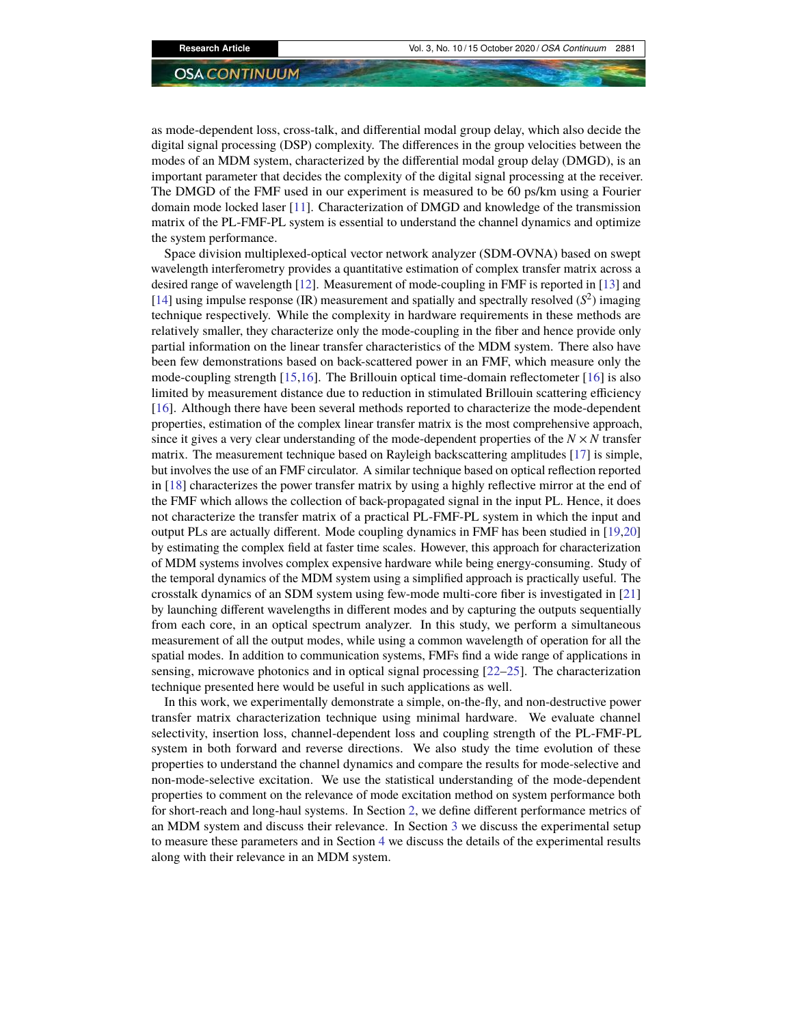as mode-dependent loss, cross-talk, and differential modal group delay, which also decide the digital signal processing (DSP) complexity. The differences in the group velocities between the modes of an MDM system, characterized by the differential modal group delay (DMGD), is an important parameter that decides the complexity of the digital signal processing at the receiver. The DMGD of the FMF used in our experiment is measured to be 60 ps/km using a Fourier domain mode locked laser [11]. Characterization of DMGD and knowledge of the transmission matrix of the PL-FMF-PL system is essential to understand the channel dynamics and optimize the system performance.

Space division multiplexed-optical vector network analyzer (SDM-OVNA) based on swept wavelength interferometry provides a quantitative estimation of complex transfer matrix across a desired range of wavelength [12]. Measurement of mode-coupling in FMF is reported in [13] and [14] using impulse response (IR) measurement and spatially and spectrally resolved  $(S^2)$  imaging technique respectively. While the complexity in hardware requirements in these methods are relatively smaller, they characterize only the mode-coupling in the fiber and hence provide only partial information on the linear transfer characteristics of the MDM system. There also have been few demonstrations based on back-scattered power in an FMF, which measure only the mode-coupling strength [15,16]. The Brillouin optical time-domain reflectometer [16] is also limited by measurement distance due to reduction in stimulated Brillouin scattering efficiency [16]. Although there have been several methods reported to characterize the mode-dependent properties, estimation of the complex linear transfer matrix is the most comprehensive approach, since it gives a very clear understanding of the mode-dependent properties of the  $N \times N$  transfer matrix. The measurement technique based on Rayleigh backscattering amplitudes [17] is simple, but involves the use of an FMF circulator. A similar technique based on optical reflection reported in [18] characterizes the power transfer matrix by using a highly reflective mirror at the end of the FMF which allows the collection of back-propagated signal in the input PL. Hence, it does not characterize the transfer matrix of a practical PL-FMF-PL system in which the input and output PLs are actually different. Mode coupling dynamics in FMF has been studied in [19,20] by estimating the complex field at faster time scales. However, this approach for characterization of MDM systems involves complex expensive hardware while being energy-consuming. Study of the temporal dynamics of the MDM system using a simplified approach is practically useful. The crosstalk dynamics of an SDM system using few-mode multi-core fiber is investigated in [21] by launching different wavelengths in different modes and by capturing the outputs sequentially from each core, in an optical spectrum analyzer. In this study, we perform a simultaneous measurement of all the output modes, while using a common wavelength of operation for all the spatial modes. In addition to communication systems, FMFs find a wide range of applications in sensing, microwave photonics and in optical signal processing [22–25]. The characterization technique presented here would be useful in such applications as well.

In this work, we experimentally demonstrate a simple, on-the-fly, and non-destructive power transfer matrix characterization technique using minimal hardware. We evaluate channel selectivity, insertion loss, channel-dependent loss and coupling strength of the PL-FMF-PL system in both forward and reverse directions. We also study the time evolution of these properties to understand the channel dynamics and compare the results for mode-selective and non-mode-selective excitation. We use the statistical understanding of the mode-dependent properties to comment on the relevance of mode excitation method on system performance both for short-reach and long-haul systems. In Section 2, we define different performance metrics of an MDM system and discuss their relevance. In Section 3 we discuss the experimental setup to measure these parameters and in Section 4 we discuss the details of the experimental results along with their relevance in an MDM system.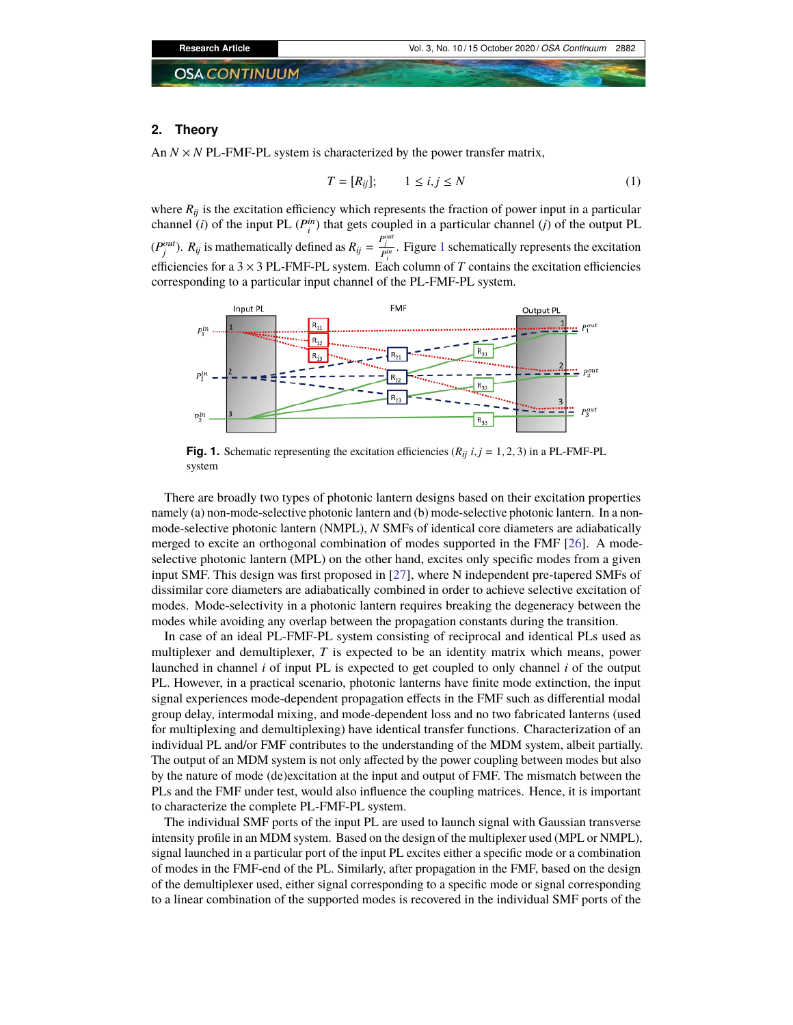#### **2. Theory**

An  $N \times N$  PL-FMF-PL system is characterized by the power transfer matrix,

$$
T = [R_{ij}]; \qquad 1 \le i, j \le N \tag{1}
$$

where  $R_{ij}$  is the excitation efficiency which represents the fraction of power input in a particular channel (*i*) of the input PL  $(P_i^{in})$  that gets coupled in a particular channel (*j*) of the output PL  $(P_j^{out})$ .  $R_{ij}$  is mathematically defined as  $R_{ij} = \frac{P_j^{out}}{P_i^{in}}$ . Figure 1 schematically represents the excitation efficiencies for a 3  $\times$  3 PL-FMF-PL system. Each column of *T* contains the excitation efficiencies corresponding to a particular input channel of the PL-FMF-PL system.



**Fig. 1.** Schematic representing the excitation efficiencies  $(R_{ij}$   $i, j = 1, 2, 3)$  in a PL-FMF-PL system

There are broadly two types of photonic lantern designs based on their excitation properties namely (a) non-mode-selective photonic lantern and (b) mode-selective photonic lantern. In a nonmode-selective photonic lantern (NMPL), *N* SMFs of identical core diameters are adiabatically merged to excite an orthogonal combination of modes supported in the FMF [26]. A modeselective photonic lantern (MPL) on the other hand, excites only specific modes from a given input SMF. This design was first proposed in [27], where N independent pre-tapered SMFs of dissimilar core diameters are adiabatically combined in order to achieve selective excitation of modes. Mode-selectivity in a photonic lantern requires breaking the degeneracy between the modes while avoiding any overlap between the propagation constants during the transition.

In case of an ideal PL-FMF-PL system consisting of reciprocal and identical PLs used as multiplexer and demultiplexer, *T* is expected to be an identity matrix which means, power launched in channel *i* of input PL is expected to get coupled to only channel *i* of the output PL. However, in a practical scenario, photonic lanterns have finite mode extinction, the input signal experiences mode-dependent propagation effects in the FMF such as differential modal group delay, intermodal mixing, and mode-dependent loss and no two fabricated lanterns (used for multiplexing and demultiplexing) have identical transfer functions. Characterization of an individual PL and/or FMF contributes to the understanding of the MDM system, albeit partially. The output of an MDM system is not only affected by the power coupling between modes but also by the nature of mode (de)excitation at the input and output of FMF. The mismatch between the PLs and the FMF under test, would also influence the coupling matrices. Hence, it is important to characterize the complete PL-FMF-PL system.

The individual SMF ports of the input PL are used to launch signal with Gaussian transverse intensity profile in an MDM system. Based on the design of the multiplexer used (MPL or NMPL), signal launched in a particular port of the input PL excites either a specific mode or a combination of modes in the FMF-end of the PL. Similarly, after propagation in the FMF, based on the design of the demultiplexer used, either signal corresponding to a specific mode or signal corresponding to a linear combination of the supported modes is recovered in the individual SMF ports of the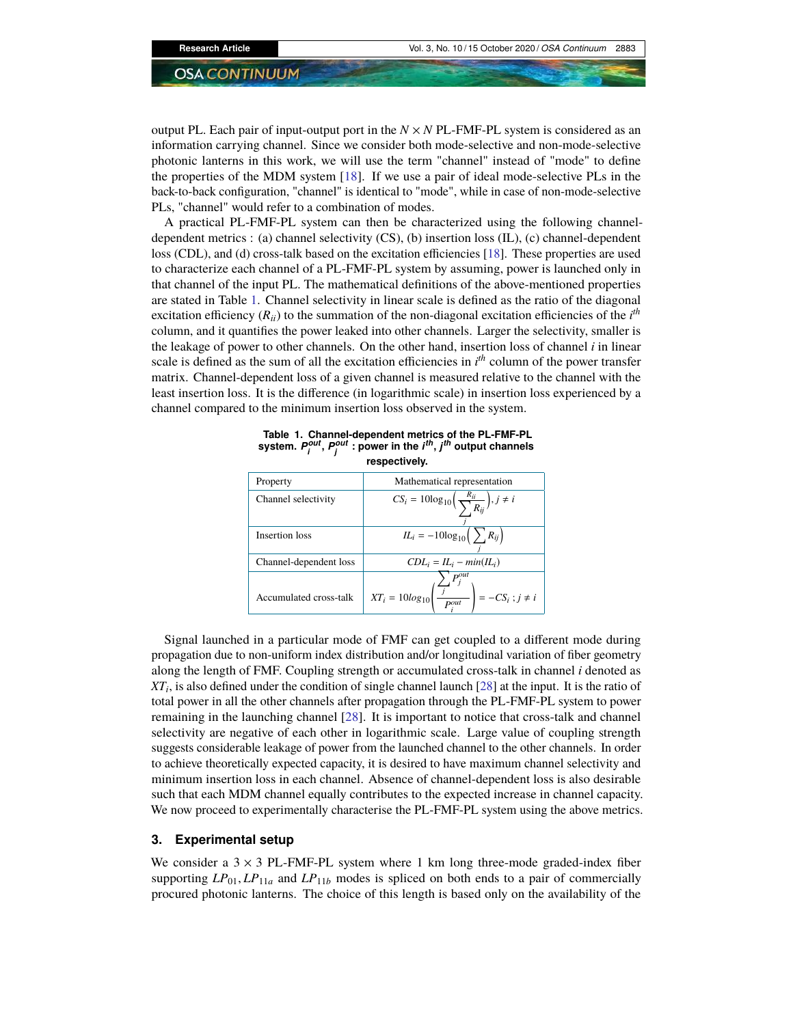output PL. Each pair of input-output port in the  $N \times N$  PL-FMF-PL system is considered as an information carrying channel. Since we consider both mode-selective and non-mode-selective photonic lanterns in this work, we will use the term "channel" instead of "mode" to define the properties of the MDM system [18]. If we use a pair of ideal mode-selective PLs in the back-to-back configuration, "channel" is identical to "mode", while in case of non-mode-selective PLs, "channel" would refer to a combination of modes.

A practical PL-FMF-PL system can then be characterized using the following channeldependent metrics : (a) channel selectivity (CS), (b) insertion loss (IL), (c) channel-dependent loss (CDL), and (d) cross-talk based on the excitation efficiencies [18]. These properties are used to characterize each channel of a PL-FMF-PL system by assuming, power is launched only in that channel of the input PL. The mathematical definitions of the above-mentioned properties are stated in Table 1. Channel selectivity in linear scale is defined as the ratio of the diagonal excitation efficiency  $(R_{ii})$  to the summation of the non-diagonal excitation efficiencies of the  $i^{th}$ column, and it quantifies the power leaked into other channels. Larger the selectivity, smaller is the leakage of power to other channels. On the other hand, insertion loss of channel *i* in linear scale is defined as the sum of all the excitation efficiencies in *i th* column of the power transfer matrix. Channel-dependent loss of a given channel is measured relative to the channel with the least insertion loss. It is the difference (in logarithmic scale) in insertion loss experienced by a channel compared to the minimum insertion loss observed in the system.

| respectively.          |                                                                                             |
|------------------------|---------------------------------------------------------------------------------------------|
| Property               | Mathematical representation                                                                 |
| Channel selectivity    | $CS_i = 10\log_{10}\left(\frac{R_{ii}}{\sum_i R_{ij}}\right), j \neq i$                     |
| Insertion loss         | $IL_i = -10\log_{10}\left(\sum_i R_{ij}\right)$                                             |
| Channel-dependent loss | $CDL_i = IL_i - min(IL_i)$                                                                  |
| Accumulated cross-talk | $P^{out}$<br>$\left(\frac{f}{P_i^{out}}\right) = -CS_i$ ; $j \neq i$<br>$XT_i = 10log_{10}$ |

**Table 1. Channel-dependent metrics of the PL-FMF-PL system.** *P out i* **,** *P out j* **: power in the** *i th* **,** *j th* **output channels**

Signal launched in a particular mode of FMF can get coupled to a different mode during propagation due to non-uniform index distribution and/or longitudinal variation of fiber geometry along the length of FMF. Coupling strength or accumulated cross-talk in channel *i* denoted as *XT<sup>i</sup>* , is also defined under the condition of single channel launch [28] at the input. It is the ratio of total power in all the other channels after propagation through the PL-FMF-PL system to power remaining in the launching channel [28]. It is important to notice that cross-talk and channel selectivity are negative of each other in logarithmic scale. Large value of coupling strength suggests considerable leakage of power from the launched channel to the other channels. In order to achieve theoretically expected capacity, it is desired to have maximum channel selectivity and minimum insertion loss in each channel. Absence of channel-dependent loss is also desirable such that each MDM channel equally contributes to the expected increase in channel capacity. We now proceed to experimentally characterise the PL-FMF-PL system using the above metrics.

## **3. Experimental setup**

We consider a  $3 \times 3$  PL-FMF-PL system where 1 km long three-mode graded-index fiber supporting  $LP_{01}$ ,  $LP_{11a}$  and  $LP_{11b}$  modes is spliced on both ends to a pair of commercially procured photonic lanterns. The choice of this length is based only on the availability of the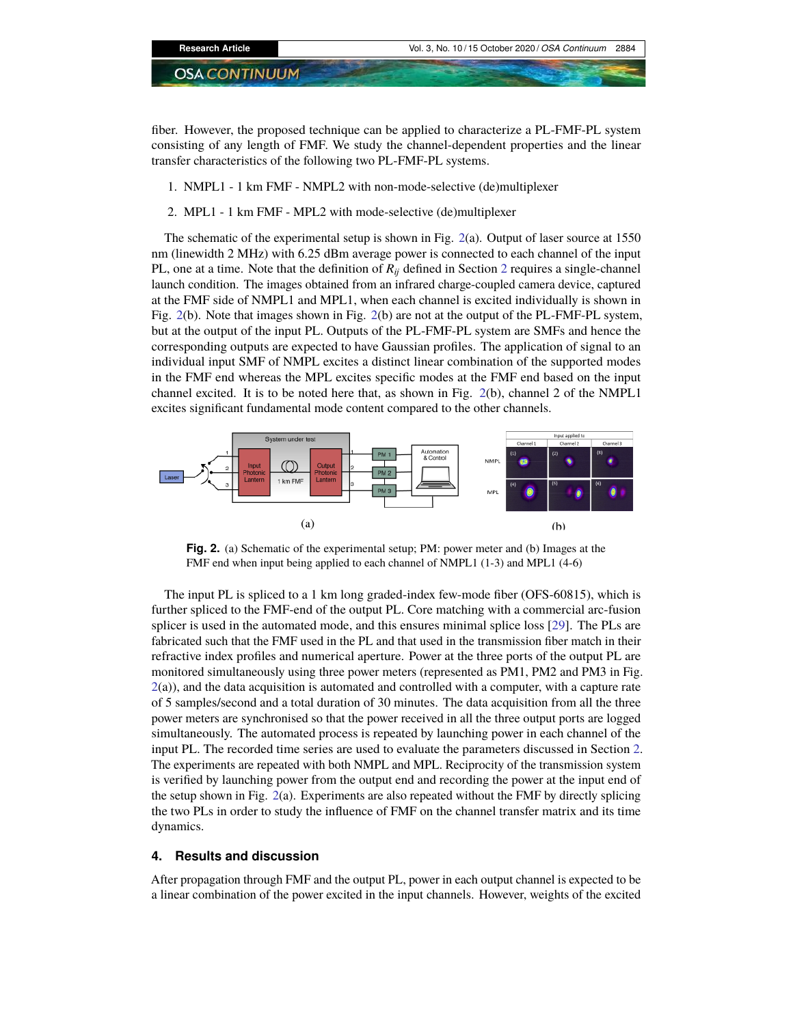fiber. However, the proposed technique can be applied to characterize a PL-FMF-PL system consisting of any length of FMF. We study the channel-dependent properties and the linear transfer characteristics of the following two PL-FMF-PL systems.

- 1. NMPL1 1 km FMF NMPL2 with non-mode-selective (de)multiplexer
- 2. MPL1 1 km FMF MPL2 with mode-selective (de)multiplexer

The schematic of the experimental setup is shown in Fig. 2(a). Output of laser source at 1550 nm (linewidth 2 MHz) with 6.25 dBm average power is connected to each channel of the input PL, one at a time. Note that the definition of  $R_{ij}$  defined in Section 2 requires a single-channel launch condition. The images obtained from an infrared charge-coupled camera device, captured at the FMF side of NMPL1 and MPL1, when each channel is excited individually is shown in Fig. 2(b). Note that images shown in Fig. 2(b) are not at the output of the PL-FMF-PL system, but at the output of the input PL. Outputs of the PL-FMF-PL system are SMFs and hence the corresponding outputs are expected to have Gaussian profiles. The application of signal to an individual input SMF of NMPL excites a distinct linear combination of the supported modes in the FMF end whereas the MPL excites specific modes at the FMF end based on the input channel excited. It is to be noted here that, as shown in Fig. 2(b), channel 2 of the NMPL1 excites significant fundamental mode content compared to the other channels.



**Fig. 2.** (a) Schematic of the experimental setup; PM: power meter and (b) Images at the FMF end when input being applied to each channel of NMPL1 (1-3) and MPL1 (4-6)

The input PL is spliced to a 1 km long graded-index few-mode fiber (OFS-60815), which is further spliced to the FMF-end of the output PL. Core matching with a commercial arc-fusion splicer is used in the automated mode, and this ensures minimal splice loss [29]. The PLs are fabricated such that the FMF used in the PL and that used in the transmission fiber match in their refractive index profiles and numerical aperture. Power at the three ports of the output PL are monitored simultaneously using three power meters (represented as PM1, PM2 and PM3 in Fig.  $2(a)$ ), and the data acquisition is automated and controlled with a computer, with a capture rate of 5 samples/second and a total duration of 30 minutes. The data acquisition from all the three power meters are synchronised so that the power received in all the three output ports are logged simultaneously. The automated process is repeated by launching power in each channel of the input PL. The recorded time series are used to evaluate the parameters discussed in Section 2. The experiments are repeated with both NMPL and MPL. Reciprocity of the transmission system is verified by launching power from the output end and recording the power at the input end of the setup shown in Fig. 2(a). Experiments are also repeated without the FMF by directly splicing the two PLs in order to study the influence of FMF on the channel transfer matrix and its time dynamics.

#### **4. Results and discussion**

After propagation through FMF and the output PL, power in each output channel is expected to be a linear combination of the power excited in the input channels. However, weights of the excited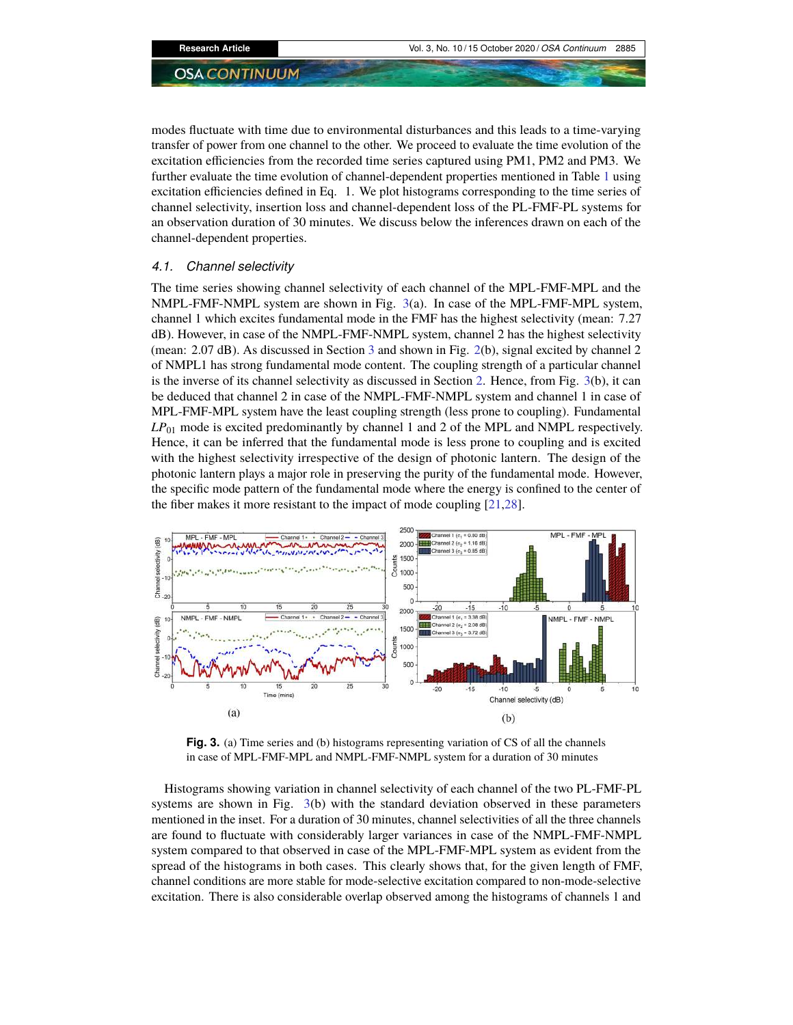modes fluctuate with time due to environmental disturbances and this leads to a time-varying transfer of power from one channel to the other. We proceed to evaluate the time evolution of the excitation efficiencies from the recorded time series captured using PM1, PM2 and PM3. We further evaluate the time evolution of channel-dependent properties mentioned in Table 1 using excitation efficiencies defined in Eq. 1. We plot histograms corresponding to the time series of channel selectivity, insertion loss and channel-dependent loss of the PL-FMF-PL systems for an observation duration of 30 minutes. We discuss below the inferences drawn on each of the channel-dependent properties.

### *4.1. Channel selectivity*

The time series showing channel selectivity of each channel of the MPL-FMF-MPL and the NMPL-FMF-NMPL system are shown in Fig. 3(a). In case of the MPL-FMF-MPL system, channel 1 which excites fundamental mode in the FMF has the highest selectivity (mean: 7.27 dB). However, in case of the NMPL-FMF-NMPL system, channel 2 has the highest selectivity (mean: 2.07 dB). As discussed in Section 3 and shown in Fig. 2(b), signal excited by channel 2 of NMPL1 has strong fundamental mode content. The coupling strength of a particular channel is the inverse of its channel selectivity as discussed in Section 2. Hence, from Fig. 3(b), it can be deduced that channel 2 in case of the NMPL-FMF-NMPL system and channel 1 in case of MPL-FMF-MPL system have the least coupling strength (less prone to coupling). Fundamental *LP*<sup>01</sup> mode is excited predominantly by channel 1 and 2 of the MPL and NMPL respectively. Hence, it can be inferred that the fundamental mode is less prone to coupling and is excited with the highest selectivity irrespective of the design of photonic lantern. The design of the photonic lantern plays a major role in preserving the purity of the fundamental mode. However, the specific mode pattern of the fundamental mode where the energy is confined to the center of the fiber makes it more resistant to the impact of mode coupling [21,28].



Fig. 3. (a) Time series and (b) histograms representing variation of CS of all the channels in case of MPL-FMF-MPL and NMPL-FMF-NMPL system for a duration of 30 minutes

Histograms showing variation in channel selectivity of each channel of the two PL-FMF-PL systems are shown in Fig. 3(b) with the standard deviation observed in these parameters mentioned in the inset. For a duration of 30 minutes, channel selectivities of all the three channels are found to fluctuate with considerably larger variances in case of the NMPL-FMF-NMPL system compared to that observed in case of the MPL-FMF-MPL system as evident from the spread of the histograms in both cases. This clearly shows that, for the given length of FMF, channel conditions are more stable for mode-selective excitation compared to non-mode-selective excitation. There is also considerable overlap observed among the histograms of channels 1 and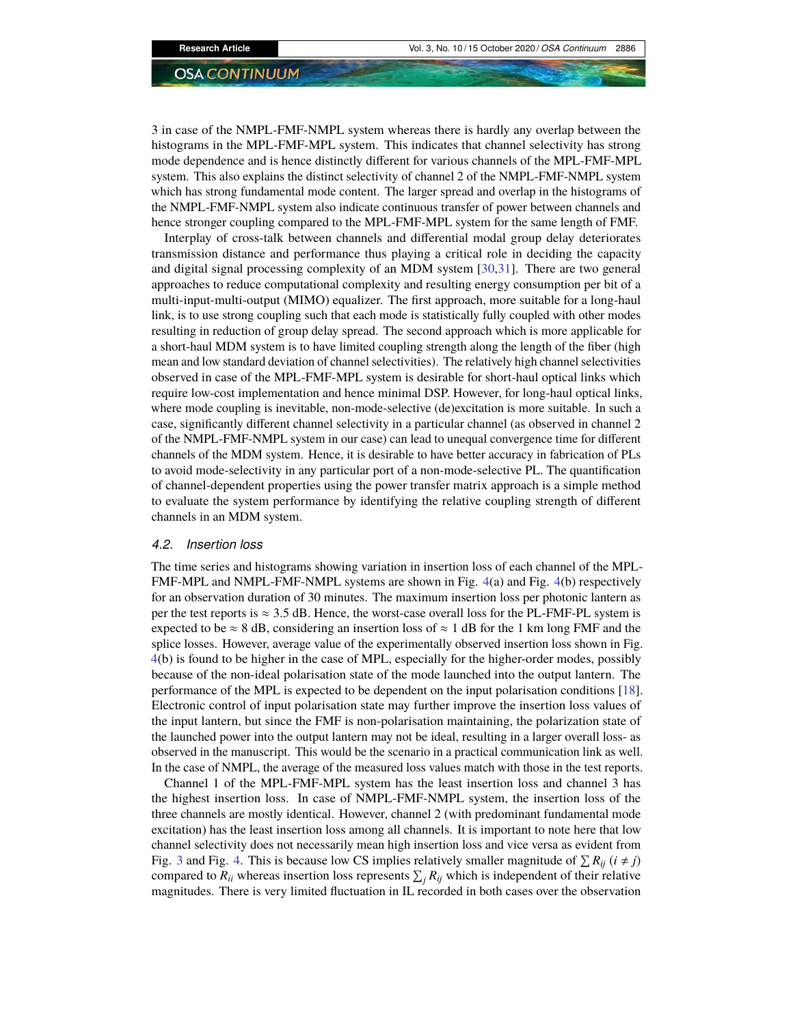3 in case of the NMPL-FMF-NMPL system whereas there is hardly any overlap between the histograms in the MPL-FMF-MPL system. This indicates that channel selectivity has strong mode dependence and is hence distinctly different for various channels of the MPL-FMF-MPL system. This also explains the distinct selectivity of channel 2 of the NMPL-FMF-NMPL system which has strong fundamental mode content. The larger spread and overlap in the histograms of the NMPL-FMF-NMPL system also indicate continuous transfer of power between channels and hence stronger coupling compared to the MPL-FMF-MPL system for the same length of FMF.

Interplay of cross-talk between channels and differential modal group delay deteriorates transmission distance and performance thus playing a critical role in deciding the capacity and digital signal processing complexity of an MDM system [30,31]. There are two general approaches to reduce computational complexity and resulting energy consumption per bit of a multi-input-multi-output (MIMO) equalizer. The first approach, more suitable for a long-haul link, is to use strong coupling such that each mode is statistically fully coupled with other modes resulting in reduction of group delay spread. The second approach which is more applicable for a short-haul MDM system is to have limited coupling strength along the length of the fiber (high mean and low standard deviation of channel selectivities). The relatively high channel selectivities observed in case of the MPL-FMF-MPL system is desirable for short-haul optical links which require low-cost implementation and hence minimal DSP. However, for long-haul optical links, where mode coupling is inevitable, non-mode-selective (de)excitation is more suitable. In such a case, significantly different channel selectivity in a particular channel (as observed in channel 2 of the NMPL-FMF-NMPL system in our case) can lead to unequal convergence time for different channels of the MDM system. Hence, it is desirable to have better accuracy in fabrication of PLs to avoid mode-selectivity in any particular port of a non-mode-selective PL. The quantification of channel-dependent properties using the power transfer matrix approach is a simple method to evaluate the system performance by identifying the relative coupling strength of different channels in an MDM system.

#### *4.2. Insertion loss*

The time series and histograms showing variation in insertion loss of each channel of the MPL-FMF-MPL and NMPL-FMF-NMPL systems are shown in Fig. 4(a) and Fig. 4(b) respectively for an observation duration of 30 minutes. The maximum insertion loss per photonic lantern as per the test reports is  $\approx 3.5$  dB. Hence, the worst-case overall loss for the PL-FMF-PL system is expected to be  $\approx 8$  dB, considering an insertion loss of  $\approx 1$  dB for the 1 km long FMF and the splice losses. However, average value of the experimentally observed insertion loss shown in Fig. 4(b) is found to be higher in the case of MPL, especially for the higher-order modes, possibly because of the non-ideal polarisation state of the mode launched into the output lantern. The performance of the MPL is expected to be dependent on the input polarisation conditions [18]. Electronic control of input polarisation state may further improve the insertion loss values of the input lantern, but since the FMF is non-polarisation maintaining, the polarization state of the launched power into the output lantern may not be ideal, resulting in a larger overall loss- as observed in the manuscript. This would be the scenario in a practical communication link as well. In the case of NMPL, the average of the measured loss values match with those in the test reports.

Channel 1 of the MPL-FMF-MPL system has the least insertion loss and channel 3 has the highest insertion loss. In case of NMPL-FMF-NMPL system, the insertion loss of the three channels are mostly identical. However, channel 2 (with predominant fundamental mode excitation) has the least insertion loss among all channels. It is important to note here that low channel selectivity does not necessarily mean high insertion loss and vice versa as evident from Fig. 3 and Fig. 4. This is because low CS implies relatively smaller magnitude of  $\sum R_{ij}$  ( $i \neq j$ ) compared to  $R_{ii}$  whereas insertion loss represents  $\sum_j R_{ij}$  which is independent of their relative magnitudes. There is very limited fluctuation in IL recorded in both cases over the observation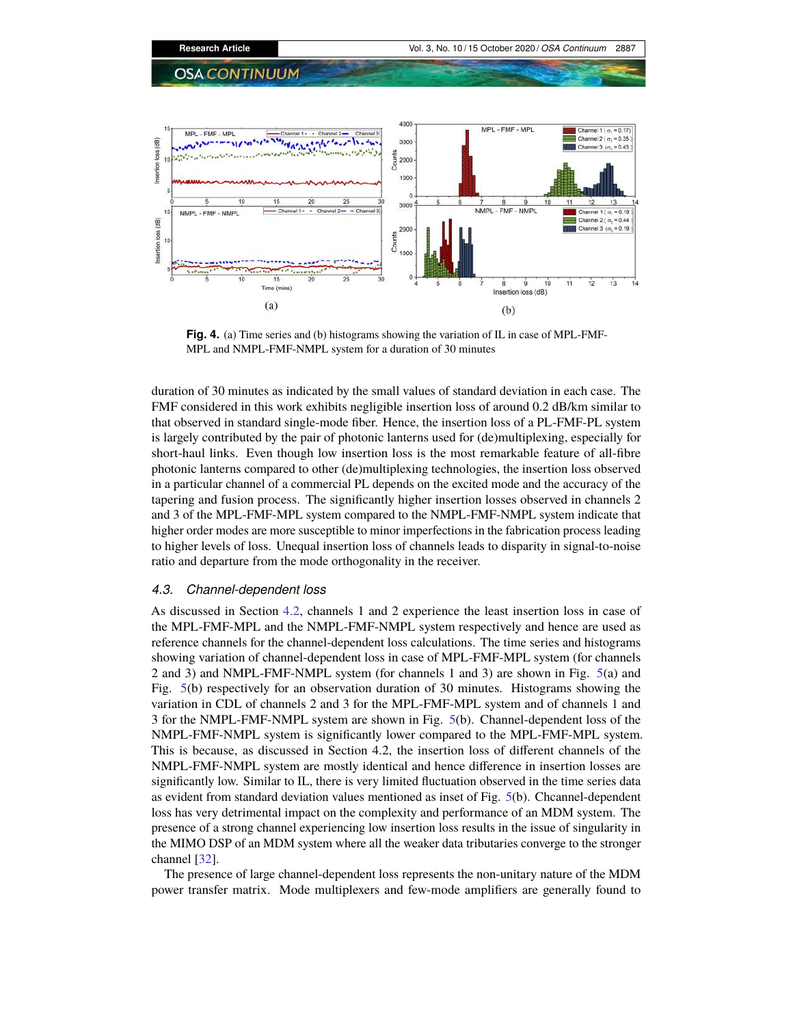

**Fig. 4.** (a) Time series and (b) histograms showing the variation of IL in case of MPL-FMF-MPL and NMPL-FMF-NMPL system for a duration of 30 minutes

duration of 30 minutes as indicated by the small values of standard deviation in each case. The FMF considered in this work exhibits negligible insertion loss of around 0.2 dB/km similar to that observed in standard single-mode fiber. Hence, the insertion loss of a PL-FMF-PL system is largely contributed by the pair of photonic lanterns used for (de)multiplexing, especially for short-haul links. Even though low insertion loss is the most remarkable feature of all-fibre photonic lanterns compared to other (de)multiplexing technologies, the insertion loss observed in a particular channel of a commercial PL depends on the excited mode and the accuracy of the tapering and fusion process. The significantly higher insertion losses observed in channels 2 and 3 of the MPL-FMF-MPL system compared to the NMPL-FMF-NMPL system indicate that higher order modes are more susceptible to minor imperfections in the fabrication process leading to higher levels of loss. Unequal insertion loss of channels leads to disparity in signal-to-noise ratio and departure from the mode orthogonality in the receiver.

# *4.3. Channel-dependent loss*

As discussed in Section 4.2, channels 1 and 2 experience the least insertion loss in case of the MPL-FMF-MPL and the NMPL-FMF-NMPL system respectively and hence are used as reference channels for the channel-dependent loss calculations. The time series and histograms showing variation of channel-dependent loss in case of MPL-FMF-MPL system (for channels 2 and 3) and NMPL-FMF-NMPL system (for channels 1 and 3) are shown in Fig. 5(a) and Fig. 5(b) respectively for an observation duration of 30 minutes. Histograms showing the variation in CDL of channels 2 and 3 for the MPL-FMF-MPL system and of channels 1 and 3 for the NMPL-FMF-NMPL system are shown in Fig. 5(b). Channel-dependent loss of the NMPL-FMF-NMPL system is significantly lower compared to the MPL-FMF-MPL system. This is because, as discussed in Section 4.2, the insertion loss of different channels of the NMPL-FMF-NMPL system are mostly identical and hence difference in insertion losses are significantly low. Similar to IL, there is very limited fluctuation observed in the time series data as evident from standard deviation values mentioned as inset of Fig. 5(b). Chcannel-dependent loss has very detrimental impact on the complexity and performance of an MDM system. The presence of a strong channel experiencing low insertion loss results in the issue of singularity in the MIMO DSP of an MDM system where all the weaker data tributaries converge to the stronger channel [32].

The presence of large channel-dependent loss represents the non-unitary nature of the MDM power transfer matrix. Mode multiplexers and few-mode amplifiers are generally found to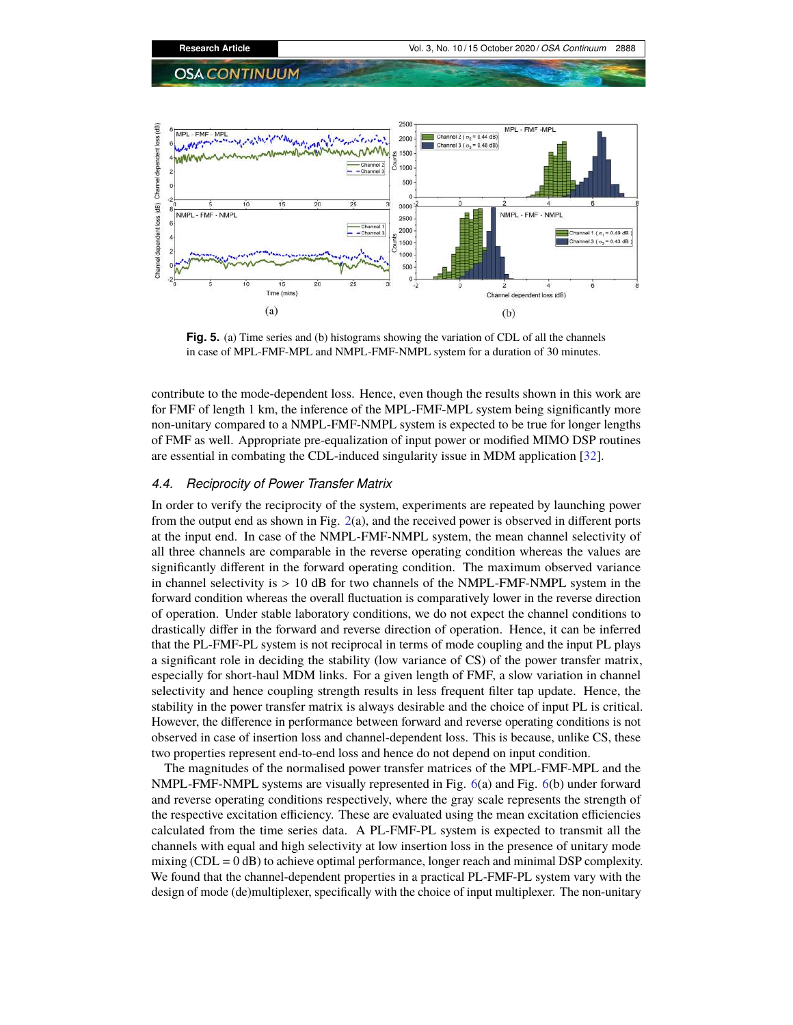

**Fig. 5.** (a) Time series and (b) histograms showing the variation of CDL of all the channels in case of MPL-FMF-MPL and NMPL-FMF-NMPL system for a duration of 30 minutes.

contribute to the mode-dependent loss. Hence, even though the results shown in this work are for FMF of length 1 km, the inference of the MPL-FMF-MPL system being significantly more non-unitary compared to a NMPL-FMF-NMPL system is expected to be true for longer lengths of FMF as well. Appropriate pre-equalization of input power or modified MIMO DSP routines are essential in combating the CDL-induced singularity issue in MDM application [32].

# *4.4. Reciprocity of Power Transfer Matrix*

In order to verify the reciprocity of the system, experiments are repeated by launching power from the output end as shown in Fig. 2(a), and the received power is observed in different ports at the input end. In case of the NMPL-FMF-NMPL system, the mean channel selectivity of all three channels are comparable in the reverse operating condition whereas the values are significantly different in the forward operating condition. The maximum observed variance in channel selectivity is  $> 10$  dB for two channels of the NMPL-FMF-NMPL system in the forward condition whereas the overall fluctuation is comparatively lower in the reverse direction of operation. Under stable laboratory conditions, we do not expect the channel conditions to drastically differ in the forward and reverse direction of operation. Hence, it can be inferred that the PL-FMF-PL system is not reciprocal in terms of mode coupling and the input PL plays a significant role in deciding the stability (low variance of CS) of the power transfer matrix, especially for short-haul MDM links. For a given length of FMF, a slow variation in channel selectivity and hence coupling strength results in less frequent filter tap update. Hence, the stability in the power transfer matrix is always desirable and the choice of input PL is critical. However, the difference in performance between forward and reverse operating conditions is not observed in case of insertion loss and channel-dependent loss. This is because, unlike CS, these two properties represent end-to-end loss and hence do not depend on input condition.

The magnitudes of the normalised power transfer matrices of the MPL-FMF-MPL and the NMPL-FMF-NMPL systems are visually represented in Fig. 6(a) and Fig. 6(b) under forward and reverse operating conditions respectively, where the gray scale represents the strength of the respective excitation efficiency. These are evaluated using the mean excitation efficiencies calculated from the time series data. A PL-FMF-PL system is expected to transmit all the channels with equal and high selectivity at low insertion loss in the presence of unitary mode mixing ( $CDL = 0$  dB) to achieve optimal performance, longer reach and minimal DSP complexity. We found that the channel-dependent properties in a practical PL-FMF-PL system vary with the design of mode (de)multiplexer, specifically with the choice of input multiplexer. The non-unitary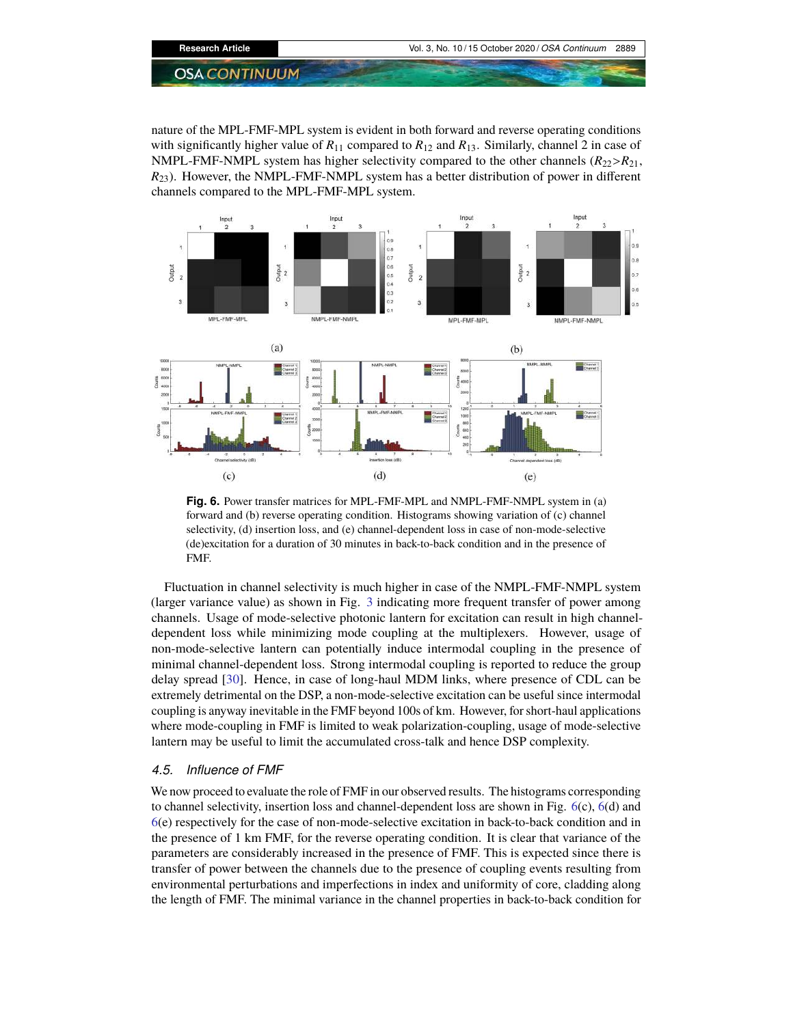nature of the MPL-FMF-MPL system is evident in both forward and reverse operating conditions with significantly higher value of  $R_{11}$  compared to  $R_{12}$  and  $R_{13}$ . Similarly, channel 2 in case of NMPL-FMF-NMPL system has higher selectivity compared to the other channels  $(R_{22} > R_{21})$ , *R*23). However, the NMPL-FMF-NMPL system has a better distribution of power in different channels compared to the MPL-FMF-MPL system.



**Fig. 6.** Power transfer matrices for MPL-FMF-MPL and NMPL-FMF-NMPL system in (a) forward and (b) reverse operating condition. Histograms showing variation of (c) channel selectivity, (d) insertion loss, and (e) channel-dependent loss in case of non-mode-selective (de)excitation for a duration of 30 minutes in back-to-back condition and in the presence of FMF.

Fluctuation in channel selectivity is much higher in case of the NMPL-FMF-NMPL system (larger variance value) as shown in Fig. 3 indicating more frequent transfer of power among channels. Usage of mode-selective photonic lantern for excitation can result in high channeldependent loss while minimizing mode coupling at the multiplexers. However, usage of non-mode-selective lantern can potentially induce intermodal coupling in the presence of minimal channel-dependent loss. Strong intermodal coupling is reported to reduce the group delay spread [30]. Hence, in case of long-haul MDM links, where presence of CDL can be extremely detrimental on the DSP, a non-mode-selective excitation can be useful since intermodal coupling is anyway inevitable in the FMF beyond 100s of km. However, for short-haul applications where mode-coupling in FMF is limited to weak polarization-coupling, usage of mode-selective lantern may be useful to limit the accumulated cross-talk and hence DSP complexity.

# *4.5. Influence of FMF*

We now proceed to evaluate the role of FMF in our observed results. The histograms corresponding to channel selectivity, insertion loss and channel-dependent loss are shown in Fig. 6(c), 6(d) and 6(e) respectively for the case of non-mode-selective excitation in back-to-back condition and in the presence of 1 km FMF, for the reverse operating condition. It is clear that variance of the parameters are considerably increased in the presence of FMF. This is expected since there is transfer of power between the channels due to the presence of coupling events resulting from environmental perturbations and imperfections in index and uniformity of core, cladding along the length of FMF. The minimal variance in the channel properties in back-to-back condition for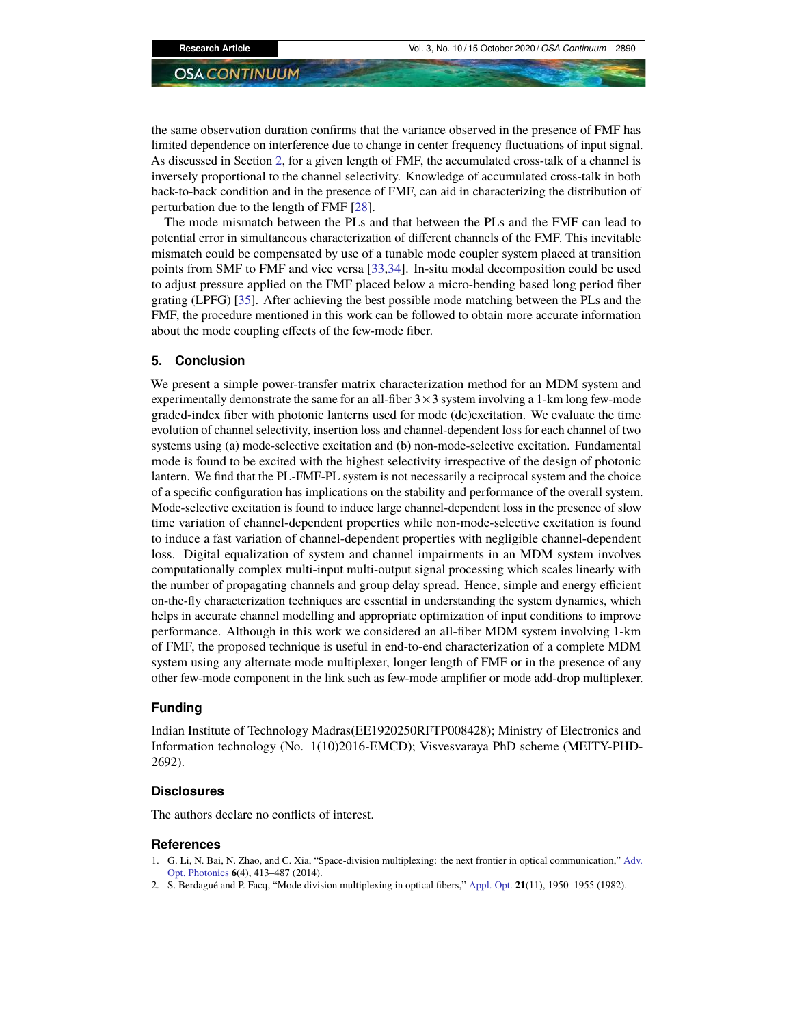the same observation duration confirms that the variance observed in the presence of FMF has limited dependence on interference due to change in center frequency fluctuations of input signal. As discussed in Section 2, for a given length of FMF, the accumulated cross-talk of a channel is inversely proportional to the channel selectivity. Knowledge of accumulated cross-talk in both back-to-back condition and in the presence of FMF, can aid in characterizing the distribution of perturbation due to the length of FMF [28].

The mode mismatch between the PLs and that between the PLs and the FMF can lead to potential error in simultaneous characterization of different channels of the FMF. This inevitable mismatch could be compensated by use of a tunable mode coupler system placed at transition points from SMF to FMF and vice versa [33,34]. In-situ modal decomposition could be used to adjust pressure applied on the FMF placed below a micro-bending based long period fiber grating (LPFG) [35]. After achieving the best possible mode matching between the PLs and the FMF, the procedure mentioned in this work can be followed to obtain more accurate information about the mode coupling effects of the few-mode fiber.

## **5. Conclusion**

We present a simple power-transfer matrix characterization method for an MDM system and experimentally demonstrate the same for an all-fiber  $3 \times 3$  system involving a 1-km long few-mode graded-index fiber with photonic lanterns used for mode (de)excitation. We evaluate the time evolution of channel selectivity, insertion loss and channel-dependent loss for each channel of two systems using (a) mode-selective excitation and (b) non-mode-selective excitation. Fundamental mode is found to be excited with the highest selectivity irrespective of the design of photonic lantern. We find that the PL-FMF-PL system is not necessarily a reciprocal system and the choice of a specific configuration has implications on the stability and performance of the overall system. Mode-selective excitation is found to induce large channel-dependent loss in the presence of slow time variation of channel-dependent properties while non-mode-selective excitation is found to induce a fast variation of channel-dependent properties with negligible channel-dependent loss. Digital equalization of system and channel impairments in an MDM system involves computationally complex multi-input multi-output signal processing which scales linearly with the number of propagating channels and group delay spread. Hence, simple and energy efficient on-the-fly characterization techniques are essential in understanding the system dynamics, which helps in accurate channel modelling and appropriate optimization of input conditions to improve performance. Although in this work we considered an all-fiber MDM system involving 1-km of FMF, the proposed technique is useful in end-to-end characterization of a complete MDM system using any alternate mode multiplexer, longer length of FMF or in the presence of any other few-mode component in the link such as few-mode amplifier or mode add-drop multiplexer.

#### **Funding**

Indian Institute of Technology Madras(EE1920250RFTP008428); Ministry of Electronics and Information technology (No. 1(10)2016-EMCD); Visvesvaraya PhD scheme (MEITY-PHD-2692).

#### **Disclosures**

The authors declare no conflicts of interest.

#### **References**

- 1. G. Li, N. Bai, N. Zhao, and C. Xia, "Space-division multiplexing: the next frontier in optical communication," Adv. Opt. Photonics **6**(4), 413–487 (2014).
- 2. S. Berdagué and P. Facq, "Mode division multiplexing in optical fibers," Appl. Opt. **21**(11), 1950–1955 (1982).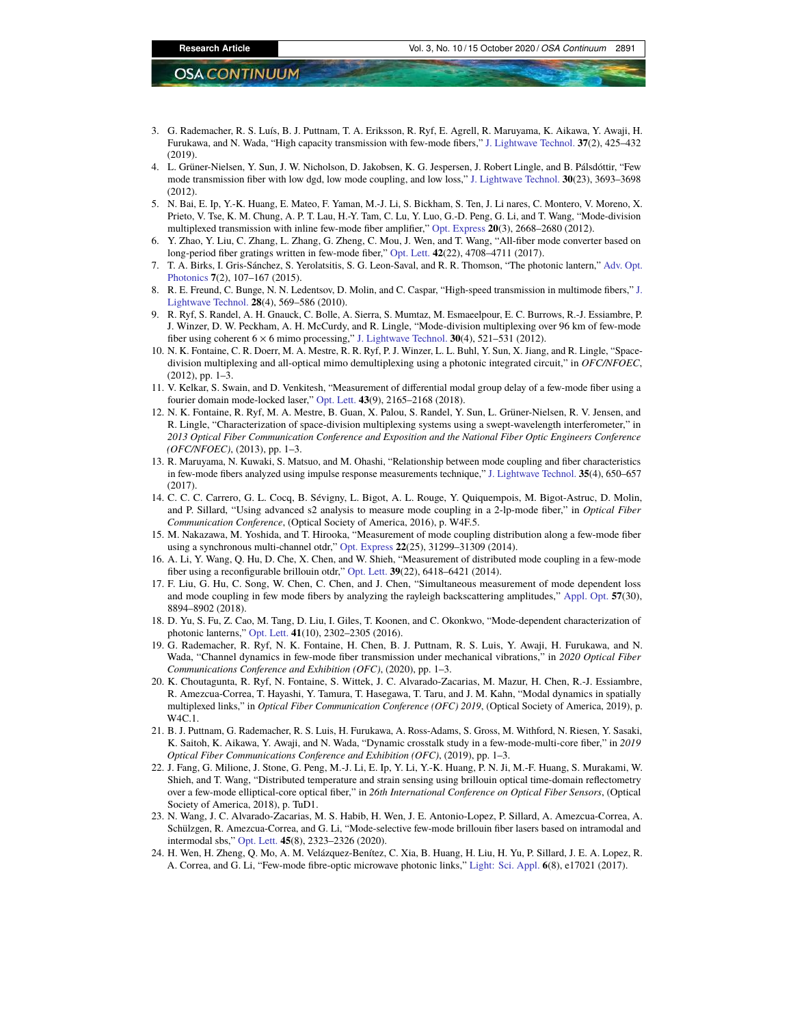- 3. G. Rademacher, R. S. Luís, B. J. Puttnam, T. A. Eriksson, R. Ryf, E. Agrell, R. Maruyama, K. Aikawa, Y. Awaji, H. Furukawa, and N. Wada, "High capacity transmission with few-mode fibers," J. Lightwave Technol. **37**(2), 425–432  $(2019)$
- 4. L. Grüner-Nielsen, Y. Sun, J. W. Nicholson, D. Jakobsen, K. G. Jespersen, J. Robert Lingle, and B. Pálsdóttir, "Few mode transmission fiber with low dgd, low mode coupling, and low loss," J. Lightwave Technol. **30**(23), 3693–3698 (2012).
- 5. N. Bai, E. Ip, Y.-K. Huang, E. Mateo, F. Yaman, M.-J. Li, S. Bickham, S. Ten, J. Li nares, C. Montero, V. Moreno, X. Prieto, V. Tse, K. M. Chung, A. P. T. Lau, H.-Y. Tam, C. Lu, Y. Luo, G.-D. Peng, G. Li, and T. Wang, "Mode-division multiplexed transmission with inline few-mode fiber amplifier," Opt. Express **20**(3), 2668–2680 (2012).
- 6. Y. Zhao, Y. Liu, C. Zhang, L. Zhang, G. Zheng, C. Mou, J. Wen, and T. Wang, "All-fiber mode converter based on long-period fiber gratings written in few-mode fiber," Opt. Lett. **42**(22), 4708–4711 (2017).
- 7. T. A. Birks, I. Gris-Sánchez, S. Yerolatsitis, S. G. Leon-Saval, and R. R. Thomson, "The photonic lantern," Adv. Opt. Photonics **7**(2), 107–167 (2015).
- 8. R. E. Freund, C. Bunge, N. N. Ledentsov, D. Molin, and C. Caspar, "High-speed transmission in multimode fibers," J. Lightwave Technol. **28**(4), 569–586 (2010).
- 9. R. Ryf, S. Randel, A. H. Gnauck, C. Bolle, A. Sierra, S. Mumtaz, M. Esmaeelpour, E. C. Burrows, R.-J. Essiambre, P. J. Winzer, D. W. Peckham, A. H. McCurdy, and R. Lingle, "Mode-division multiplexing over 96 km of few-mode fiber using coherent 6 × 6 mimo processing," J. Lightwave Technol. **30**(4), 521–531 (2012).
- 10. N. K. Fontaine, C. R. Doerr, M. A. Mestre, R. R. Ryf, P. J. Winzer, L. L. Buhl, Y. Sun, X. Jiang, and R. Lingle, "Spacedivision multiplexing and all-optical mimo demultiplexing using a photonic integrated circuit," in *OFC/NFOEC*, (2012), pp. 1–3.
- 11. V. Kelkar, S. Swain, and D. Venkitesh, "Measurement of differential modal group delay of a few-mode fiber using a fourier domain mode-locked laser," Opt. Lett. **43**(9), 2165–2168 (2018).
- 12. N. K. Fontaine, R. Ryf, M. A. Mestre, B. Guan, X. Palou, S. Randel, Y. Sun, L. Grüner-Nielsen, R. V. Jensen, and R. Lingle, "Characterization of space-division multiplexing systems using a swept-wavelength interferometer," in *2013 Optical Fiber Communication Conference and Exposition and the National Fiber Optic Engineers Conference (OFC/NFOEC)*, (2013), pp. 1–3.
- 13. R. Maruyama, N. Kuwaki, S. Matsuo, and M. Ohashi, "Relationship between mode coupling and fiber characteristics in few-mode fibers analyzed using impulse response measurements technique," J. Lightwave Technol. **35**(4), 650–657  $(2017)$
- 14. C. C. C. Carrero, G. L. Cocq, B. Sévigny, L. Bigot, A. L. Rouge, Y. Quiquempois, M. Bigot-Astruc, D. Molin, and P. Sillard, "Using advanced s2 analysis to measure mode coupling in a 2-lp-mode fiber," in *Optical Fiber Communication Conference*, (Optical Society of America, 2016), p. W4F.5.
- 15. M. Nakazawa, M. Yoshida, and T. Hirooka, "Measurement of mode coupling distribution along a few-mode fiber using a synchronous multi-channel otdr," Opt. Express **22**(25), 31299–31309 (2014).
- 16. A. Li, Y. Wang, Q. Hu, D. Che, X. Chen, and W. Shieh, "Measurement of distributed mode coupling in a few-mode fiber using a reconfigurable brillouin otdr," Opt. Lett. **39**(22), 6418–6421 (2014).
- 17. F. Liu, G. Hu, C. Song, W. Chen, C. Chen, and J. Chen, "Simultaneous measurement of mode dependent loss and mode coupling in few mode fibers by analyzing the rayleigh backscattering amplitudes," Appl. Opt. **57**(30), 8894–8902 (2018).
- 18. D. Yu, S. Fu, Z. Cao, M. Tang, D. Liu, I. Giles, T. Koonen, and C. Okonkwo, "Mode-dependent characterization of photonic lanterns," Opt. Lett. **41**(10), 2302–2305 (2016).
- 19. G. Rademacher, R. Ryf, N. K. Fontaine, H. Chen, B. J. Puttnam, R. S. Luis, Y. Awaji, H. Furukawa, and N. Wada, "Channel dynamics in few-mode fiber transmission under mechanical vibrations," in *2020 Optical Fiber Communications Conference and Exhibition (OFC)*, (2020), pp. 1–3.
- 20. K. Choutagunta, R. Ryf, N. Fontaine, S. Wittek, J. C. Alvarado-Zacarias, M. Mazur, H. Chen, R.-J. Essiambre, R. Amezcua-Correa, T. Hayashi, Y. Tamura, T. Hasegawa, T. Taru, and J. M. Kahn, "Modal dynamics in spatially multiplexed links," in *Optical Fiber Communication Conference (OFC) 2019*, (Optical Society of America, 2019), p. W4C.1.
- 21. B. J. Puttnam, G. Rademacher, R. S. Luis, H. Furukawa, A. Ross-Adams, S. Gross, M. Withford, N. Riesen, Y. Sasaki, K. Saitoh, K. Aikawa, Y. Awaji, and N. Wada, "Dynamic crosstalk study in a few-mode-multi-core fiber," in *2019 Optical Fiber Communications Conference and Exhibition (OFC)*, (2019), pp. 1–3.
- 22. J. Fang, G. Milione, J. Stone, G. Peng, M.-J. Li, E. Ip, Y. Li, Y.-K. Huang, P. N. Ji, M.-F. Huang, S. Murakami, W. Shieh, and T. Wang, "Distributed temperature and strain sensing using brillouin optical time-domain reflectometry over a few-mode elliptical-core optical fiber," in *26th International Conference on Optical Fiber Sensors*, (Optical Society of America, 2018), p. TuD1.
- 23. N. Wang, J. C. Alvarado-Zacarias, M. S. Habib, H. Wen, J. E. Antonio-Lopez, P. Sillard, A. Amezcua-Correa, A. Schülzgen, R. Amezcua-Correa, and G. Li, "Mode-selective few-mode brillouin fiber lasers based on intramodal and intermodal sbs," Opt. Lett. **45**(8), 2323–2326 (2020).
- 24. H. Wen, H. Zheng, Q. Mo, A. M. Velázquez-Benítez, C. Xia, B. Huang, H. Liu, H. Yu, P. Sillard, J. E. A. Lopez, R. A. Correa, and G. Li, "Few-mode fibre-optic microwave photonic links," Light: Sci. Appl. **6**(8), e17021 (2017).